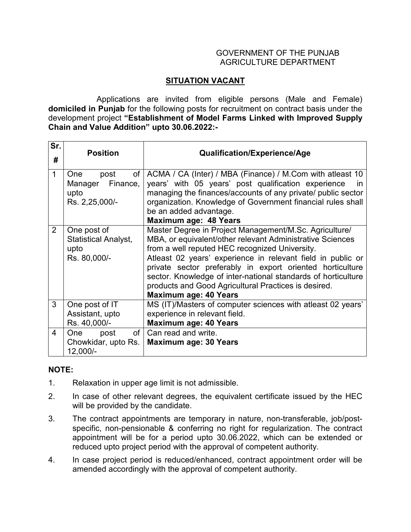## GOVERNMENT OF THE PUNJAB AGRICULTURE DEPARTMENT

## **SITUATION VACANT**

 Applications are invited from eligible persons (Male and Female) **domiciled in Punjab** for the following posts for recruitment on contract basis under the development project **"Establishment of Model Farms Linked with Improved Supply Chain and Value Addition" upto 30.06.2022:-**

| Sr.<br>#       | <b>Position</b>                                                           | <b>Qualification/Experience/Age</b>                                                                                                                                                                                                                                                                                                                                                                                                                        |
|----------------|---------------------------------------------------------------------------|------------------------------------------------------------------------------------------------------------------------------------------------------------------------------------------------------------------------------------------------------------------------------------------------------------------------------------------------------------------------------------------------------------------------------------------------------------|
| $\mathbf 1$    | <b>One</b><br>post<br>of<br>Finance,<br>Manager<br>upto<br>Rs. 2,25,000/- | ACMA / CA (Inter) / MBA (Finance) / M.Com with atleast 10<br>years' with 05 years' post qualification experience<br>$\mathsf{In}$<br>managing the finances/accounts of any private/ public sector<br>organization. Knowledge of Government financial rules shall<br>be an added advantage.<br><b>Maximum age: 48 Years</b>                                                                                                                                 |
| 2              | One post of<br><b>Statistical Analyst,</b><br>upto<br>Rs. 80,000/-        | Master Degree in Project Management/M.Sc. Agriculture/<br>MBA, or equivalent/other relevant Administrative Sciences<br>from a well reputed HEC recognized University.<br>Atleast 02 years' experience in relevant field in public or<br>private sector preferably in export oriented horticulture<br>sector. Knowledge of inter-national standards of horticulture<br>products and Good Agricultural Practices is desired.<br><b>Maximum age: 40 Years</b> |
| 3              | One post of IT<br>Assistant, upto<br>Rs. 40,000/-                         | MS (IT)/Masters of computer sciences with atleast 02 years'<br>experience in relevant field.<br><b>Maximum age: 40 Years</b>                                                                                                                                                                                                                                                                                                                               |
| $\overline{4}$ | of<br>One<br>post<br>Chowkidar, upto Rs.<br>12,000/-                      | Can read and write.<br><b>Maximum age: 30 Years</b>                                                                                                                                                                                                                                                                                                                                                                                                        |

## **NOTE:**

- 1. Relaxation in upper age limit is not admissible.
- 2. In case of other relevant degrees, the equivalent certificate issued by the HEC will be provided by the candidate.
- 3. The contract appointments are temporary in nature, non-transferable, job/postspecific, non-pensionable & conferring no right for regularization. The contract appointment will be for a period upto 30.06.2022, which can be extended or reduced upto project period with the approval of competent authority.
- 4. In case project period is reduced/enhanced, contract appointment order will be amended accordingly with the approval of competent authority.